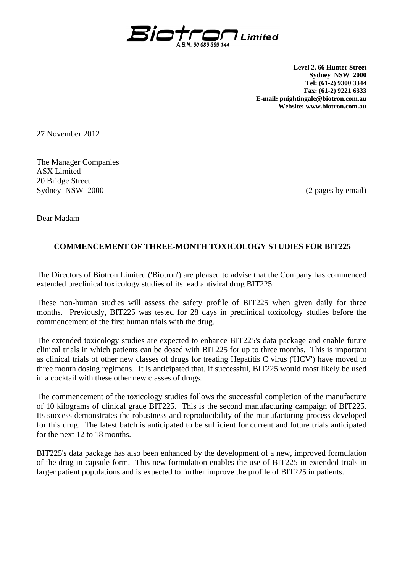

**Level 2, 66 Hunter Street Sydney NSW 2000 Tel: (61-2) 9300 3344 Fax: (61-2) 9221 6333 E-mail: pnightingale@biotron.com.au Website: www.biotron.com.au** 

27 November 2012

The Manager Companies ASX Limited 20 Bridge Street Sydney NSW 2000 (2 pages by email)

Dear Madam

## **COMMENCEMENT OF THREE-MONTH TOXICOLOGY STUDIES FOR BIT225**

The Directors of Biotron Limited ('Biotron') are pleased to advise that the Company has commenced extended preclinical toxicology studies of its lead antiviral drug BIT225.

These non-human studies will assess the safety profile of BIT225 when given daily for three months. Previously, BIT225 was tested for 28 days in preclinical toxicology studies before the commencement of the first human trials with the drug.

The extended toxicology studies are expected to enhance BIT225's data package and enable future clinical trials in which patients can be dosed with BIT225 for up to three months. This is important as clinical trials of other new classes of drugs for treating Hepatitis C virus ('HCV') have moved to three month dosing regimens. It is anticipated that, if successful, BIT225 would most likely be used in a cocktail with these other new classes of drugs.

The commencement of the toxicology studies follows the successful completion of the manufacture of 10 kilograms of clinical grade BIT225. This is the second manufacturing campaign of BIT225. Its success demonstrates the robustness and reproducibility of the manufacturing process developed for this drug. The latest batch is anticipated to be sufficient for current and future trials anticipated for the next 12 to 18 months.

BIT225's data package has also been enhanced by the development of a new, improved formulation of the drug in capsule form. This new formulation enables the use of BIT225 in extended trials in larger patient populations and is expected to further improve the profile of BIT225 in patients.